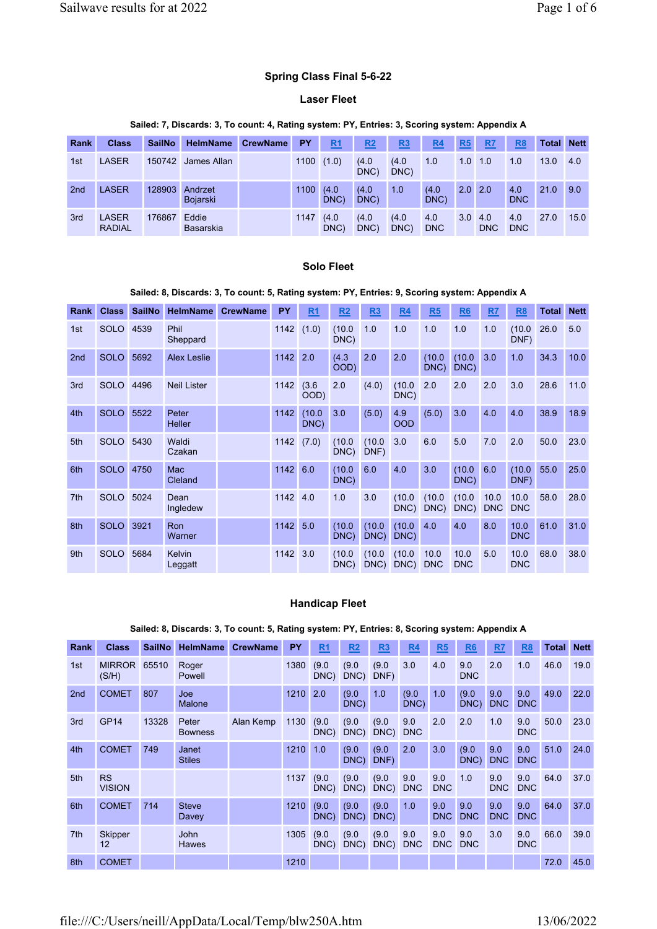## Spring Class Final 5-6-22

## Laser Fleet

#### Sailed: 7, Discards: 3, To count: 4, Rating system: PY, Entries: 3, Scoring system: Appendix A

| <b>Rank</b>     | <b>Class</b>                  | <b>SailNo</b> | <b>HelmName</b>     | <b>CrewName</b> | <b>PY</b> | R <sub>1</sub> | <u>R2</u>     | <u>R3</u>     | R <sub>4</sub>    | R <sub>5</sub>   | R <sub>7</sub>    | R <sub>8</sub>    | Total | <b>Nett</b> |
|-----------------|-------------------------------|---------------|---------------------|-----------------|-----------|----------------|---------------|---------------|-------------------|------------------|-------------------|-------------------|-------|-------------|
| 1st             | LASER                         | 150742        | James Allan         |                 | 1100      | (1.0)          | (4.0)<br>DNC) | (4.0<br>DNC)  | 1.0               | 1.0              | 1.0               | 1.0               | 13.0  | 4.0         |
| 2 <sub>nd</sub> | <b>LASER</b>                  | 128903        | Andrzet<br>Bojarski |                 | 1100      | (4.0)<br>DNC)  | (4.0<br>DNC)  | 1.0           | (4.0)<br>DNC)     | $2.0 \, 2.0$     |                   | 4.0<br><b>DNC</b> | 21.0  | 9.0         |
| 3rd             | <b>LASER</b><br><b>RADIAL</b> | 176867        | Eddie<br>Basarskia  |                 | 1147      | (4.0)<br>DNC)  | (4.0<br>DNC)  | (4.0)<br>DNC) | 4.0<br><b>DNC</b> | 3.0 <sub>1</sub> | 4.0<br><b>DNC</b> | 4.0<br><b>DNC</b> | 27.0  | 15.0        |

## Solo Fleet

#### Sailed: 8, Discards: 3, To count: 5, Rating system: PY, Entries: 9, Scoring system: Appendix A

| Rank            | <b>Class</b> | <b>SailNo</b> | <b>HelmName</b>      | <b>CrewName</b> | <b>PY</b> | R <sub>1</sub> | R2             | R3             | R4                | R5                 | R6                 | R <sub>7</sub>     | R <sub>8</sub>     | Total | <b>Nett</b> |
|-----------------|--------------|---------------|----------------------|-----------------|-----------|----------------|----------------|----------------|-------------------|--------------------|--------------------|--------------------|--------------------|-------|-------------|
| 1st             | <b>SOLO</b>  | 4539          | Phil<br>Sheppard     |                 | 1142      | (1.0)          | (10.0)<br>DNC) | 1.0            | 1.0               | 1.0                | 1.0                | 1.0                | (10.0)<br>DNF)     | 26.0  | 5.0         |
| 2 <sub>nd</sub> | <b>SOLO</b>  | 5692          | <b>Alex Leslie</b>   |                 | 1142      | 2.0            | (4.3)<br>OOD)  | 2.0            | 2.0               | (10.0)<br>DNC)     | (10.0)<br>DNC)     | 3.0                | 1.0                | 34.3  | 10.0        |
| 3rd             | <b>SOLO</b>  | 4496          | <b>Neil Lister</b>   |                 | 1142      | (3.6)<br>(OOD  | 2.0            | (4.0)          | (10.0)<br>DNC)    | 2.0                | 2.0                | 2.0                | 3.0                | 28.6  | 11.0        |
| 4th             | <b>SOLO</b>  | 5522          | Peter<br>Heller      |                 | 1142      | (10.0)<br>DNC) | 3.0            | (5.0)          | 4.9<br><b>OOD</b> | (5.0)              | 3.0                | 4.0                | 4.0                | 38.9  | 18.9        |
| 5th             | <b>SOLO</b>  | 5430          | Waldi<br>Czakan      |                 | 1142      | (7.0)          | (10.0)<br>DNC) | (10.0)<br>DNF) | 3.0               | 6.0                | 5.0                | 7.0                | 2.0                | 50.0  | 23.0        |
| 6th             | <b>SOLO</b>  | 4750          | Mac<br>Cleland       |                 | 1142      | 6.0            | (10.0)<br>DNC) | 6.0            | 4.0               | 3.0                | (10.0)<br>DNC)     | 6.0                | (10.0)<br>DNF)     | 55.0  | 25.0        |
| 7th             | <b>SOLO</b>  | 5024          | Dean<br>Ingledew     |                 | 1142      | 4.0            | 1.0            | 3.0            | (10.0)<br>DNC)    | (10.0)<br>DNC)     | (10.0)<br>DNC)     | 10.0<br><b>DNC</b> | 10.0<br><b>DNC</b> | 58.0  | 28.0        |
| 8th             | <b>SOLO</b>  | 3921          | <b>Ron</b><br>Warner |                 | 1142      | 5.0            | (10.0)<br>DNC) | (10.0)<br>DNC) | (10.0)<br>DNC)    | 4.0                | 4.0                | 8.0                | 10.0<br><b>DNC</b> | 61.0  | 31.0        |
| 9th             | <b>SOLO</b>  | 5684          | Kelvin<br>Leggatt    |                 | 1142      | 3.0            | (10.0)<br>DNC) | (10.0)<br>DNC) | (10.0)<br>DNC)    | 10.0<br><b>DNC</b> | 10.0<br><b>DNC</b> | 5.0                | 10.0<br><b>DNC</b> | 68.0  | 38.0        |

## Handicap Fleet

#### Rank Class SailNo HelmName CrewName PY R1 R2 R3 R4 R5 R6 R7 R8 Total Nett 1st MIRROR 65510 (S/H) Roger Powell 1380 (9.0 DNC) (9.0 DNC) DNF) (9.0 3.0 4.0 9.0 DNC 2.0 1.0 46.0 19.0 2nd COMET 807 Joe Malone 1210 2.0 (9.0 DNC) 1.0 (9.0 DNC) 1.0 (9.0 DNC) 9.0 DNC 9.0 DNC 49.0 22.0 3rd GP14 13328 Peter Bowness Alan Kemp 1130 (9.0 DNC) (9.0 DNC) (9.0 DNC) 9.0 DNC 2.0 2.0 1.0 9.0 DNC 50.0 23.0 4th COMET 749 Janet **Stiles** 1210 1.0 (9.0 DNC) (9.0 DNF) 2.0 3.0 (9.0 DNC) 9.0 DNC 9.0 DNC 51.0 24.0 5th RS VISION 1137 (9.0 DNC) (9.0 DNC) (9.0 DNC) 9.0 DNC 9.0 DNC 1.0 9.0 DNC 9.0 DNC 64.0 37.0 6th COMET 714 Steve **Davey** 1210 (9.0 DNC) (9.0 DNC) (9.0 DNC) 1.0 9.0 DNC 9.0 DNC 9.0 DNC 9.0 DNC 64.0 37.0 7th Skipper 12 John Hawes 1305 (9.0 DNC) DNC)  $(9.0)$ (9.0 DNC) DNC 9.0 9.0 DNC DNC 9.0 3.0 9.0 DNC 66.0 39.0 8th COMET 1210 72.0 45.0

#### Sailed: 8, Discards: 3, To count: 5, Rating system: PY, Entries: 8, Scoring system: Appendix A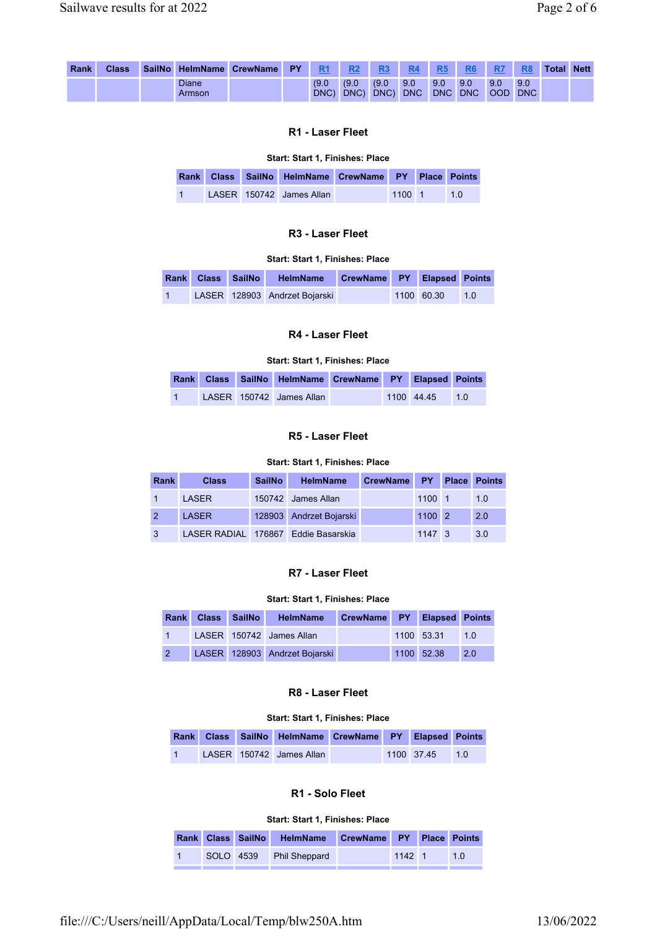| Rank | <b>Class</b> |                        | SailNo HelmName CrewName PY | <b>R1</b>        |       | R <sub>3</sub>         | <b>R4</b> | R <sub>5</sub> | <b>R6</b>          |     | R <sub>8</sub> | <b>Total Nett</b> |  |
|------|--------------|------------------------|-----------------------------|------------------|-------|------------------------|-----------|----------------|--------------------|-----|----------------|-------------------|--|
|      |              | <b>Diane</b><br>Armson |                             | (9.0)<br>$DNC$ ) | (9.0) | (9.0)<br>DNC) DNC) DNC | 9.0       | 9.0            | 9.0<br>DNC DNC OOD | 9.0 | 9.0<br>DNC I   |                   |  |

# R1 - Laser Fleet

#### Start: Start 1, Finishes: Place

|  | Rank Class SailNo HelmName CrewName PY Place Points |        |        |
|--|-----------------------------------------------------|--------|--------|
|  | LASER 150742 James Allan                            | 1100 1 | $-1.0$ |

# R3 - Laser Fleet

#### Start: Start 1, Finishes: Place

|                |  | Rank Class SailNo HelmName CrewName PY Elapsed Points |  |            |                    |
|----------------|--|-------------------------------------------------------|--|------------|--------------------|
| $\blacksquare$ |  | LASER 128903 Andrzet Bojarski                         |  | 1100 60.30 | $\blacksquare$ 1.0 |

## R4 - Laser Fleet

Start: Start 1, Finishes: Place

|                |  | Rank Class SailNo HelmName CrewName PY Elapsed Points |  |                |  |
|----------------|--|-------------------------------------------------------|--|----------------|--|
| $\overline{1}$ |  | LASER 150742 James Allan                              |  | 1100 44 45 1.0 |  |

## R5 - Laser Fleet

## Start: Start 1, Finishes: Place

| <b>Rank</b> | <b>Class</b> | <b>SailNo</b> | <b>HelmName</b>                     | CrewName PY |                | <b>Place Points</b> |
|-------------|--------------|---------------|-------------------------------------|-------------|----------------|---------------------|
|             | LASER        |               | 150742 James Allan                  |             | 1100 1         | 1.0                 |
| 2           | <b>LASER</b> |               | 128903 Andrzet Bojarski             |             | $1100$ 2       | 2.0                 |
| 3           |              |               | LASER RADIAL 176867 Eddie Basarskia |             | $1147 \quad 3$ | 3.0                 |

#### R7 - Laser Fleet

## Start: Start 1, Finishes: Place

|  | Rank Class SailNo HelmName    | CrewName PY Elapsed Points |                |  |
|--|-------------------------------|----------------------------|----------------|--|
|  | LASER 150742 James Allan      |                            | 1100 53.31 1.0 |  |
|  | LASER 128903 Andrzet Bojarski |                            | 1100 52.38 2.0 |  |

# R8 - Laser Fleet

#### Start: Start 1, Finishes: Place

|                |  | Rank Class SailNo HelmName CrewName PY Elapsed Points |  |                |  |
|----------------|--|-------------------------------------------------------|--|----------------|--|
| $\blacksquare$ |  | LASER 150742 James Allan                              |  | 1100 37.45 1.0 |  |

## R1 - Solo Fleet

#### Start: Start 1, Finishes: Place

|  | Rank Class SailNo HelmName CrewName PY Place Points |          |     |
|--|-----------------------------------------------------|----------|-----|
|  | SOLO 4539 Phil Sheppard                             | $1142$ 1 | 1.0 |
|  |                                                     |          |     |

file:///C:/Users/neill/AppData/Local/Temp/blw250A.htm 13/06/2022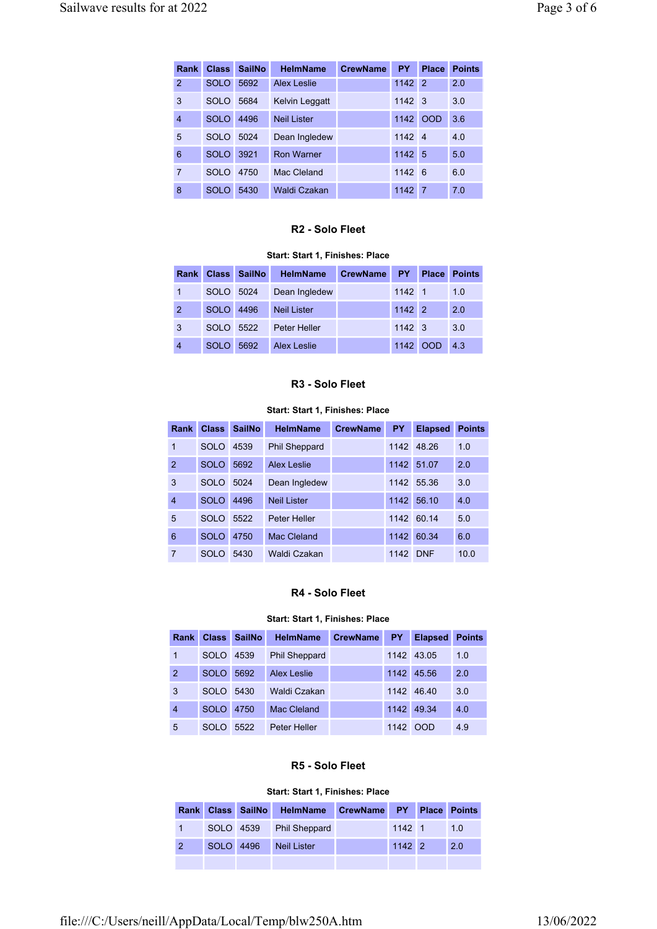| Rank           | <b>Class</b> | <b>SailNo</b> | <b>HelmName</b>    | <b>CrewName</b> | <b>PY</b> | <b>Place</b>   | <b>Points</b> |
|----------------|--------------|---------------|--------------------|-----------------|-----------|----------------|---------------|
| $\overline{2}$ | <b>SOLO</b>  | 5692          | <b>Alex Leslie</b> |                 | 1142      | $\vert$ 2      | 2.0           |
| 3              | <b>SOLO</b>  | 5684          | Kelvin Leggatt     |                 | 1142      | $\mathsf{I}3$  | 3.0           |
| $\overline{4}$ | <b>SOLO</b>  | 4496          | <b>Neil Lister</b> |                 | 1142      | <b>OOD</b>     | 3.6           |
| 5              | <b>SOLO</b>  | 5024          | Dean Ingledew      |                 | 1142      | $\overline{4}$ | 4.0           |
| 6              | <b>SOLO</b>  | 3921          | <b>Ron Warner</b>  |                 | 1142      | 5              | 5.0           |
| $\overline{7}$ | <b>SOLO</b>  | 4750          | Mac Cleland        |                 | 1142      | $\overline{6}$ | 6.0           |
| 8              | <b>SOLO</b>  | 5430          | Waldi Czakan       |                 | 1142      | 7              | 7.0           |

## R2 - Solo Fleet

## Start: Start 1, Finishes: Place

|                |           | Rank Class SailNo | <b>HelmName</b>    | <b>CrewName</b> | · PY»          | <b>Place</b> | <b>Points</b> |
|----------------|-----------|-------------------|--------------------|-----------------|----------------|--------------|---------------|
| 1              | SOLO 5024 |                   | Dean Ingledew      |                 | $1142 \quad 1$ |              | 1.0           |
| 2              | SOLO 4496 |                   | <b>Neil Lister</b> |                 | $1142$ 2       |              | 2.0           |
| 3              | SOLO 5522 |                   | Peter Heller       |                 | $1142 \quad 3$ |              | 3.0           |
| $\overline{4}$ | SOLO      | 5692              | <b>Alex Leslie</b> |                 |                | 1142 OOD 4.3 |               |

## R3 - Solo Fleet

## Start: Start 1, Finishes: Place

| Rank           | <b>Class</b> | <b>SailNo</b> | <b>HelmName</b>      | <b>CrewName</b> | <b>PY</b> | <b>Elapsed</b> | <b>Points</b> |
|----------------|--------------|---------------|----------------------|-----------------|-----------|----------------|---------------|
| $\mathbf{1}$   | <b>SOLO</b>  | 4539          | <b>Phil Sheppard</b> |                 | 1142      | 48.26          | 1.0           |
| $\overline{2}$ | <b>SOLO</b>  | 5692          | Alex Leslie          |                 | 1142      | 51.07          | 2.0           |
| 3              | SOLO.        | 5024          | Dean Ingledew        |                 | 1142      | 55.36          | 3.0           |
| $\overline{4}$ | <b>SOLO</b>  | 4496          | Neil Lister          |                 | 1142      | 5610           | 4.0           |
| 5              | SOLO.        | 5522          | Peter Heller         |                 | 1142      | 60 14          | 5.0           |
| 6              | <b>SOLO</b>  | 4750          | Mac Cleland          |                 | 1142      | 60 34          | 6.0           |
| $\overline{7}$ | SOLO         | 5430          | Waldi Czakan         |                 | 1142      | <b>DNF</b>     | 10.0          |

# R4 - Solo Fleet

#### Start: Start 1, Finishes: Place

| <b>Rank</b> | <b>Class</b> | <b>SailNo</b> | <b>HelmName</b>      | <b>CrewName</b> | PY - | <b>Elapsed</b> | <b>Points</b> |
|-------------|--------------|---------------|----------------------|-----------------|------|----------------|---------------|
| 1           | <b>SOLO</b>  | 4539          | <b>Phil Sheppard</b> |                 |      | 1142 43.05     | 1.0           |
| 2           | <b>SOLO</b>  | 5692          | <b>Alex Leslie</b>   |                 |      | 1142 45.56     | 2.0           |
| 3           | SOLO.        | 5430          | Waldi Czakan         |                 | 1142 | 46.40          | 3.0           |
| 4           | <b>SOLO</b>  | 4750          | Mac Cleland          |                 | 1142 | 49.34          | 4.0           |
| 5           | <b>SOLO</b>  | 5522          | Peter Heller         |                 | 1142 | <b>OOD</b>     | 4.9           |

## R5 - Solo Fleet

#### Start: Start 1, Finishes: Place

|                |  | Rank Class SailNo HelmName CrewName PY Place Points |          |     |
|----------------|--|-----------------------------------------------------|----------|-----|
|                |  | SOLO 4539 Phil Sheppard                             | $1142$ 1 | 10  |
| $\overline{2}$ |  | SOLO 4496 Neil Lister                               | $1142$ 2 | 2.0 |
|                |  |                                                     |          |     |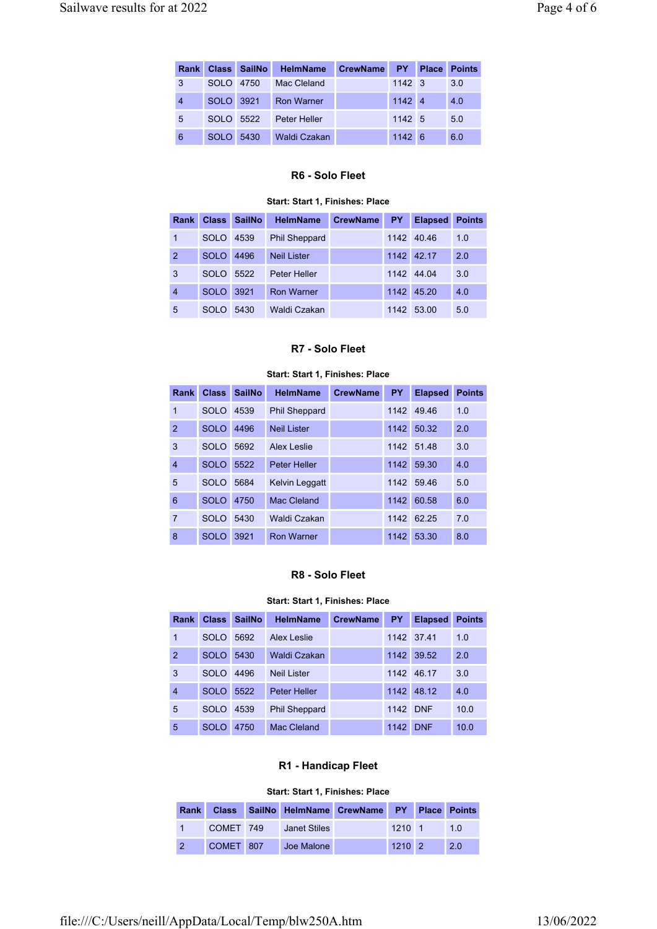|                |           | Rank Class SailNo | <b>HelmName</b>     | <b>CrewName</b> | PY             | <b>Place</b> | <b>Points</b> |
|----------------|-----------|-------------------|---------------------|-----------------|----------------|--------------|---------------|
| 3              | SOLO 4750 |                   | Mac Cleland         |                 | $1142 \quad 3$ |              | 3.0           |
| $\overline{4}$ | SOLO 3921 |                   | <b>Ron Warner</b>   |                 | 1142 4         |              | 4.0           |
| 5              | SOLO 5522 |                   | Peter Heller        |                 | 1142 5         |              | 5.0           |
| 6              | SOLO 5430 |                   | <b>Waldi Czakan</b> |                 | 1142 6         |              | 6.0           |

## R6 - Solo Fleet

#### Start: Start 1, Finishes: Place

| Rank           |             | Class SailNo | <b>HelmName</b>      | <b>CrewName</b> | PY : | <b>Elapsed</b> | <b>Points</b> |
|----------------|-------------|--------------|----------------------|-----------------|------|----------------|---------------|
| 1              | <b>SOLO</b> | 4539         | <b>Phil Sheppard</b> |                 | 1142 | 40.46          | 1.0           |
| 2              | <b>SOLO</b> | 4496         | <b>Neil Lister</b>   |                 |      | 1142 42.17     | 2.0           |
| 3              | <b>SOLO</b> | 5522         | Peter Heller         |                 |      | 1142 44 04     | 3.0           |
| $\overline{4}$ | <b>SOLO</b> | 3921         | <b>Ron Warner</b>    |                 |      | 1142 45.20     | 4.0           |
| 5              | <b>SOLO</b> | 5430         | Waldi Czakan         |                 | 1142 | 53.00          | 5.0           |

## R7 - Solo Fleet

#### Start: Start 1, Finishes: Place

| Rank           | <b>Class</b> | <b>SailNo</b> | <b>HelmName</b>       | <b>CrewName</b> | <b>PY</b> | <b>Elapsed</b> | <b>Points</b> |
|----------------|--------------|---------------|-----------------------|-----------------|-----------|----------------|---------------|
| 1              | <b>SOLO</b>  | 4539          | <b>Phil Sheppard</b>  |                 | 1142      | 49.46          | 1.0           |
| 2              | <b>SOLO</b>  | 4496          | Neil Lister           |                 | 1142      | 50.32          | 2.0           |
| 3              | <b>SOLO</b>  | 5692          | Alex Leslie           |                 | 1142      | 51 48          | 3.0           |
| $\overline{4}$ | <b>SOLO</b>  | 5522          | <b>Peter Heller</b>   |                 | 1142      | 59.30          | 4.0           |
| 5              | <b>SOLO</b>  | 5684          | <b>Kelvin Leggatt</b> |                 | 1142      | 59.46          | 5.0           |
| 6              | <b>SOLO</b>  | 4750          | Mac Cleland           |                 | 1142      | 60.58          | 6.0           |
| $\overline{7}$ | <b>SOLO</b>  | 5430          | Waldi Czakan          |                 | 1142      | 62 25          | 7.0           |
| 8              | <b>SOLO</b>  | 3921          | <b>Ron Warner</b>     |                 | 1142      | 53.30          | 8.0           |

## R8 - Solo Fleet

#### Start: Start 1, Finishes: Place

| <b>Rank</b>    | <b>Class</b> | <b>SailNo</b> | <b>HelmName</b>      | <b>CrewName</b> | PY.  | <b>Elapsed</b> | <b>Points</b> |
|----------------|--------------|---------------|----------------------|-----------------|------|----------------|---------------|
| 1              | <b>SOLO</b>  | 5692          | Alex Leslie          |                 |      | 1142 37.41     | 1.0           |
| $\overline{2}$ | <b>SOLO</b>  | 5430          | Waldi Czakan         |                 | 1142 | 39.52          | 2.0           |
| 3              | SOLO         | 4496          | <b>Neil Lister</b>   |                 | 1142 | 46.17          | 3.0           |
| $\overline{4}$ | <b>SOLO</b>  | 5522          | <b>Peter Heller</b>  |                 | 1142 | 48.12          | 4.0           |
| 5              | <b>SOLO</b>  | 4539          | <b>Phil Sheppard</b> |                 | 1142 | <b>DNF</b>     | 10.0          |
| 5              | <b>SOLO</b>  | 4750          | Mac Cleland          |                 | 1142 | <b>DNF</b>     | 10.0          |

# R1 - Handicap Fleet

#### Start: Start 1, Finishes: Place

|           | Rank Class SailNo HelmName CrewName PY Place Points |            |     |
|-----------|-----------------------------------------------------|------------|-----|
| COMET 749 | Janet Stiles                                        | $1210 - 1$ | 1 Q |
| COMET 807 | Joe Malone                                          | $1210$ 2   | 2.0 |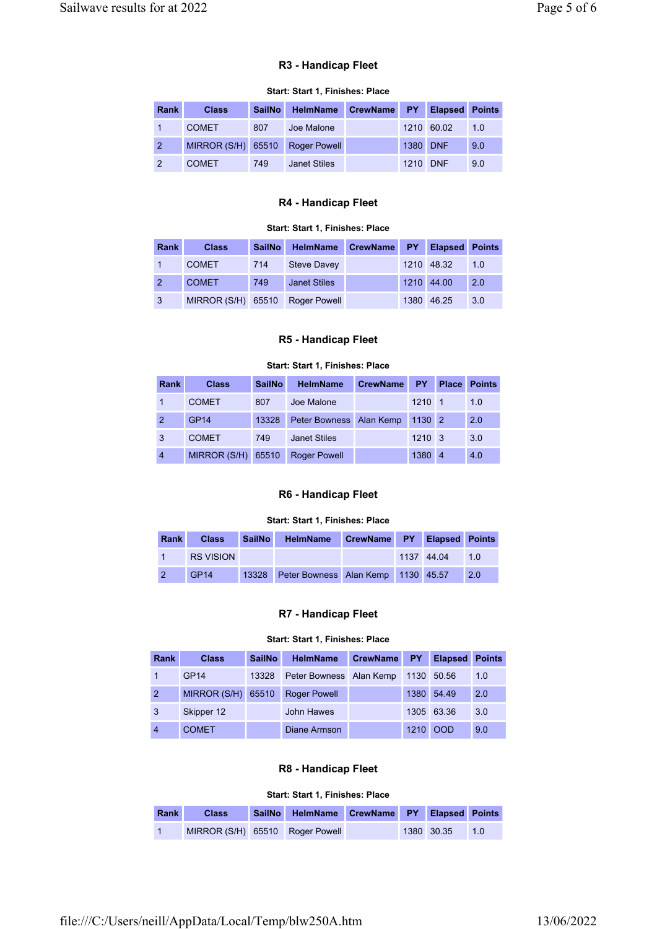# R3 - Handicap Fleet

# Start: Start 1, Finishes: Place

| <b>Rank</b>    | <b>Class</b>       | <b>SailNo</b> | <b>HelmName</b>     | <b>CrewName</b> |          | <b>PY</b> Elapsed | <b>Points</b> |
|----------------|--------------------|---------------|---------------------|-----------------|----------|-------------------|---------------|
|                | <b>COMET</b>       | 807           | Joe Malone          |                 |          | 1210 60.02        | 1.0           |
| $\overline{2}$ | MIRROR (S/H) 65510 |               | <b>Roger Powell</b> |                 | 1380 DNF |                   | 9.0           |
| $\overline{2}$ | <b>COMET</b>       | 749           | Janet Stiles        |                 | 1210 DNF |                   | 9.0           |

# R4 - Handicap Fleet

#### Start: Start 1, Finishes: Place

| <b>Rank</b>      | <b>Class</b>       | <b>SailNo</b> | HelmName            | CrewName PY Elapsed |            | <b>Points</b> |
|------------------|--------------------|---------------|---------------------|---------------------|------------|---------------|
|                  | <b>COMET</b>       | 714           | <b>Steve Davey</b>  |                     | 1210 48.32 | 1.0           |
| $\left(2\right)$ | <b>COMET</b>       | 749           | <b>Janet Stiles</b> |                     | 1210 44.00 | 2.0           |
| $\mathbf{3}$     | MIRROR (S/H) 65510 |               | <b>Roger Powell</b> |                     | 1380 46.25 | 3.0           |

#### R5 - Handicap Fleet

#### Start: Start 1, Finishes: Place

| Rank           | <b>Class</b> | <b>SailNo</b> | <b>HelmName</b>         | <b>CrewName</b> | <b>PY</b>      | <b>Place</b>   | <b>Points</b> |
|----------------|--------------|---------------|-------------------------|-----------------|----------------|----------------|---------------|
|                | <b>COMET</b> | 807           | Joe Malone              |                 | $1210 - 1$     |                | 1.0           |
| 2              | <b>GP14</b>  | 13328         | Peter Bowness Alan Kemp |                 | $1130$ 2       |                | 2.0           |
| $\mathbf{3}$   | <b>COMET</b> | 749           | <b>Janet Stiles</b>     |                 | $1210 \quad 3$ |                | 3.0           |
| $\overline{4}$ | MIRROR (S/H) | 65510         | <b>Roger Powell</b>     |                 | 1380           | $\overline{4}$ | 4.0           |

# R6 - Handicap Fleet

#### Start: Start 1, Finishes: Place

| <b>Rank</b> | <b>Class</b>     | <b>SailNo</b> | HelmName CrewName PY Elapsed Points      |  |            |     |
|-------------|------------------|---------------|------------------------------------------|--|------------|-----|
|             | <b>RS VISION</b> |               |                                          |  | 1137 44.04 | 1 O |
|             | GP <sub>14</sub> |               | 13328 Peter Bowness Alan Kemp 1130 45.57 |  |            | 2.0 |

# R7 - Handicap Fleet

# Start: Start 1, Finishes: Place

| <b>Rank</b>    | <b>Class</b>     | <b>SailNo</b> | <b>HelmName</b>         | <b>CrewName</b> | <b>PY</b> | <b>Elapsed</b> | <b>Points</b> |
|----------------|------------------|---------------|-------------------------|-----------------|-----------|----------------|---------------|
| 47             | GP <sub>14</sub> | 13328         | Peter Bowness Alan Kemp |                 |           | 1130 50.56     | 1.0           |
| $\overline{2}$ | MIRROR (S/H)     | 65510         | <b>Roger Powell</b>     |                 |           | 1380 54.49     | 2.0           |
| $\mathbf{3}$   | Skipper 12       |               | John Hawes              |                 |           | 1305 63.36     | 3.0           |
| $\overline{4}$ | <b>COMET</b>     |               | Diane Armson            |                 | 1210      | <b>OOD</b>     | 9.0           |

# R8 - Handicap Fleet

## Start: Start 1, Finishes: Place

| Rank           | <b>Class</b>                    | SailNo HelmName CrewName PY Elapsed Points |  |                |  |
|----------------|---------------------------------|--------------------------------------------|--|----------------|--|
| $\overline{1}$ | MIRROR (S/H) 65510 Roger Powell |                                            |  | 1380 30.35 1.0 |  |